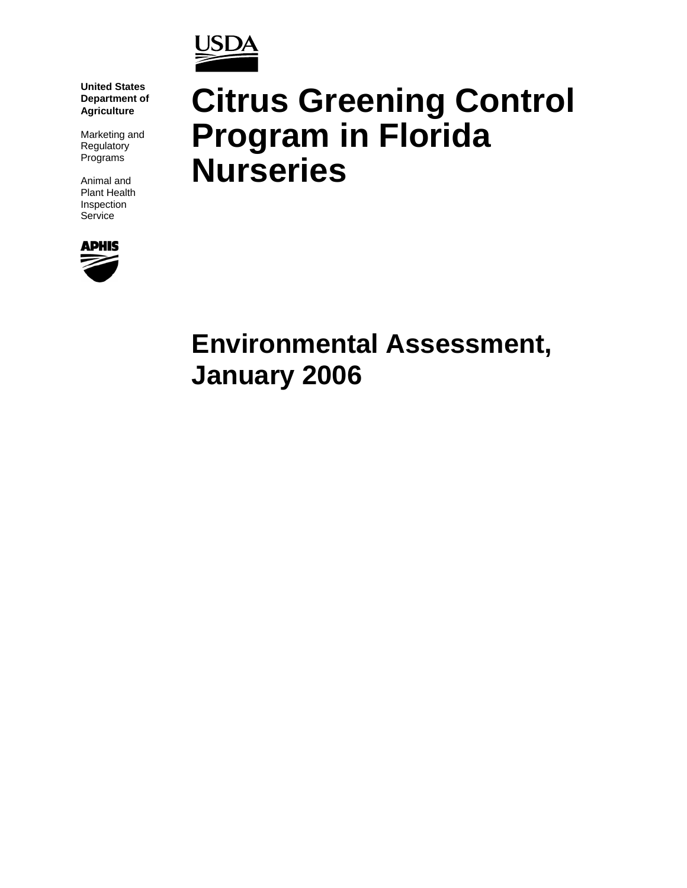

**United States Department of Agriculture**

Marketing and Regulatory Programs

Animal and Plant Health Inspection **Service** 



# **Citrus Greening Control Program in Florida Nurseries**

# **Environmental Assessment, January 2006**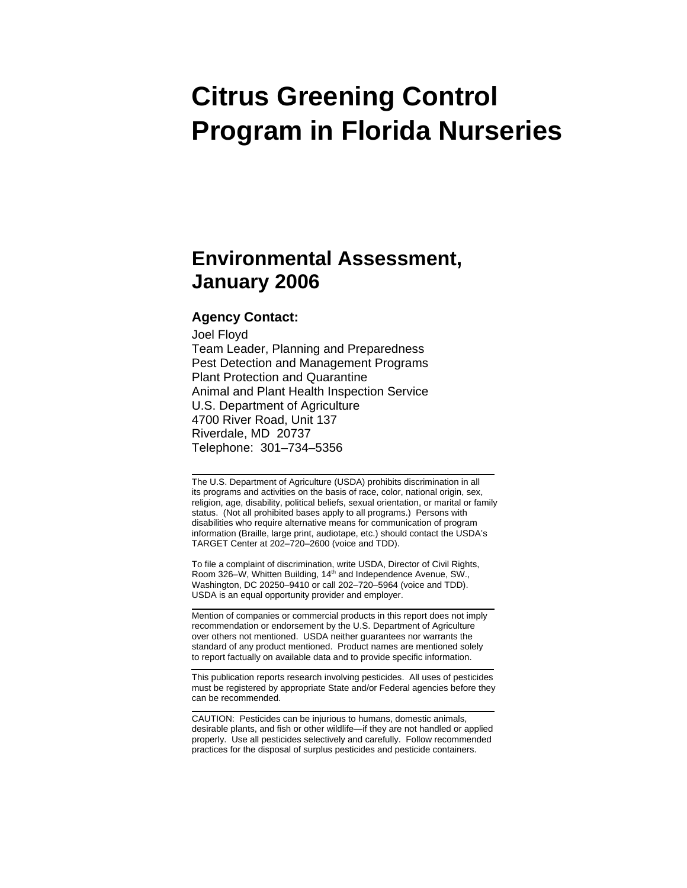# **Citrus Greening Control Program in Florida Nurseries**

# **Environmental Assessment, January 2006**

#### **Agency Contact:**

Joel Floyd Team Leader, Planning and Preparedness Pest Detection and Management Programs Plant Protection and Quarantine Animal and Plant Health Inspection Service U.S. Department of Agriculture 4700 River Road, Unit 137 Riverdale, MD 20737 Telephone: 301–734–5356

The U.S. Department of Agriculture (USDA) prohibits discrimination in all its programs and activities on the basis of race, color, national origin, sex, religion, age, disability, political beliefs, sexual orientation, or marital or family status. (Not all prohibited bases apply to all programs.) Persons with disabilities who require alternative means for communication of program information (Braille, large print, audiotape, etc.) should contact the USDA's TARGET Center at 202–720–2600 (voice and TDD).

To file a complaint of discrimination, write USDA, Director of Civil Rights, Room 326–W, Whitten Building, 14<sup>th</sup> and Independence Avenue, SW., Washington, DC 20250–9410 or call 202–720–5964 (voice and TDD). USDA is an equal opportunity provider and employer.

Mention of companies or commercial products in this report does not imply recommendation or endorsement by the U.S. Department of Agriculture over others not mentioned. USDA neither guarantees nor warrants the standard of any product mentioned. Product names are mentioned solely to report factually on available data and to provide specific information.

This publication reports research involving pesticides. All uses of pesticides must be registered by appropriate State and/or Federal agencies before they can be recommended.

CAUTION: Pesticides can be injurious to humans, domestic animals, desirable plants, and fish or other wildlife—if they are not handled or applied properly. Use all pesticides selectively and carefully. Follow recommended practices for the disposal of surplus pesticides and pesticide containers.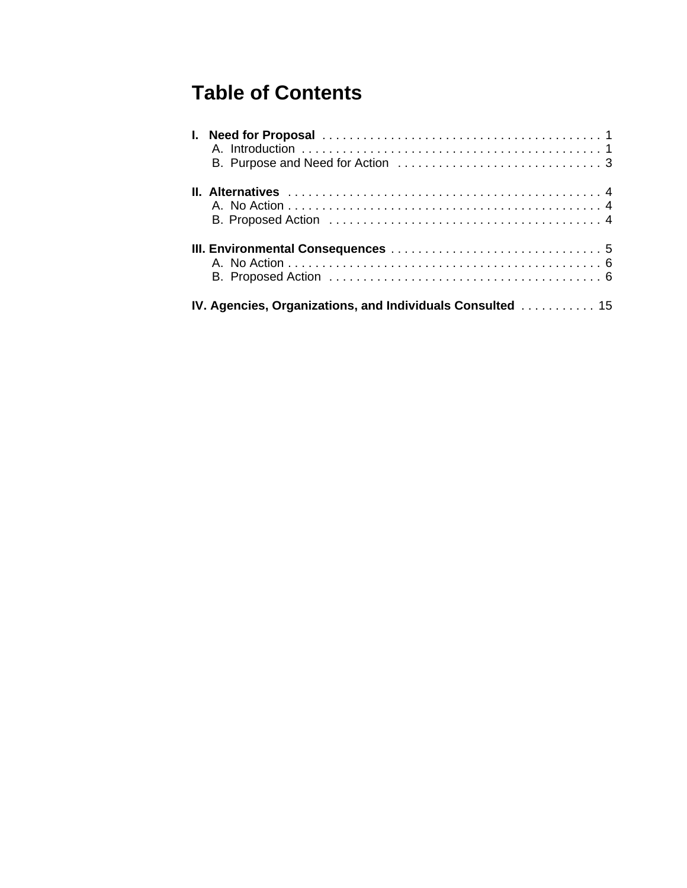# **Table of Contents**

| <b>IV. Agencies, Organizations, and Individuals Consulted</b> 15 |
|------------------------------------------------------------------|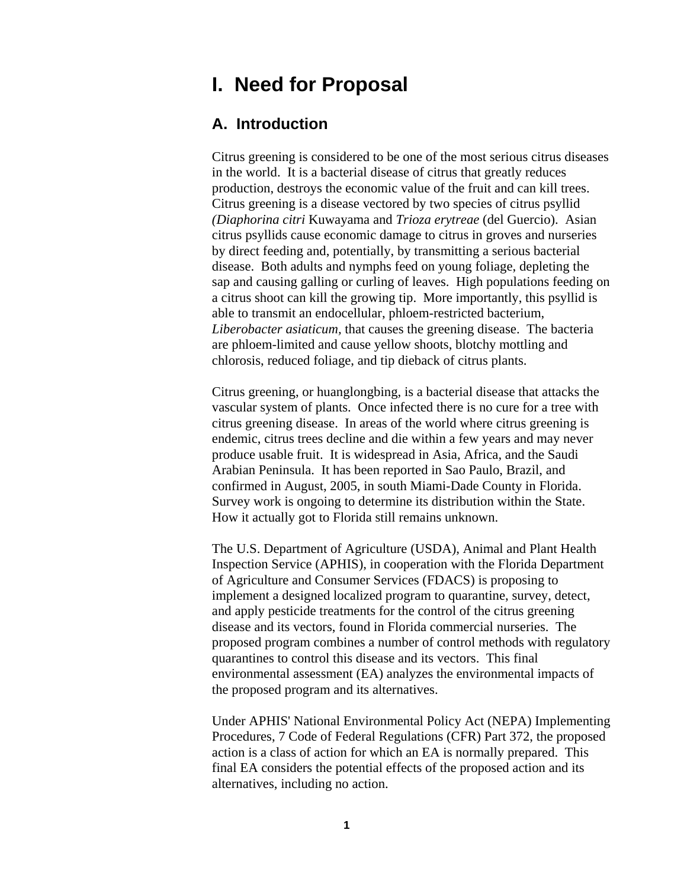# **I. Need for Proposal**

# **A. Introduction**

Citrus greening is considered to be one of the most serious citrus diseases in the world. It is a bacterial disease of citrus that greatly reduces production, destroys the economic value of the fruit and can kill trees. Citrus greening is a disease vectored by two species of citrus psyllid *(Diaphorina citri* Kuwayama and *Trioza erytreae* (del Guercio). Asian citrus psyllids cause economic damage to citrus in groves and nurseries by direct feeding and, potentially, by transmitting a serious bacterial disease. Both adults and nymphs feed on young foliage, depleting the sap and causing galling or curling of leaves. High populations feeding on a citrus shoot can kill the growing tip. More importantly, this psyllid is able to transmit an endocellular, phloem-restricted bacterium, *Liberobacter asiaticum,* that causes the greening disease. The bacteria are phloem-limited and cause yellow shoots, blotchy mottling and chlorosis, reduced foliage, and tip dieback of citrus plants.

Citrus greening, or huanglongbing, is a bacterial disease that attacks the vascular system of plants. Once infected there is no cure for a tree with citrus greening disease. In areas of the world where citrus greening is endemic, citrus trees decline and die within a few years and may never produce usable fruit. It is widespread in Asia, Africa, and the Saudi Arabian Peninsula. It has been reported in Sao Paulo, Brazil, and confirmed in August, 2005, in south Miami-Dade County in Florida. Survey work is ongoing to determine its distribution within the State. How it actually got to Florida still remains unknown.

The U.S. Department of Agriculture (USDA), Animal and Plant Health Inspection Service (APHIS), in cooperation with the Florida Department of Agriculture and Consumer Services (FDACS) is proposing to implement a designed localized program to quarantine, survey, detect, and apply pesticide treatments for the control of the citrus greening disease and its vectors, found in Florida commercial nurseries. The proposed program combines a number of control methods with regulatory quarantines to control this disease and its vectors. This final environmental assessment (EA) analyzes the environmental impacts of the proposed program and its alternatives.

Under APHIS' National Environmental Policy Act (NEPA) Implementing Procedures, 7 Code of Federal Regulations (CFR) Part 372, the proposed action is a class of action for which an EA is normally prepared. This final EA considers the potential effects of the proposed action and its alternatives, including no action.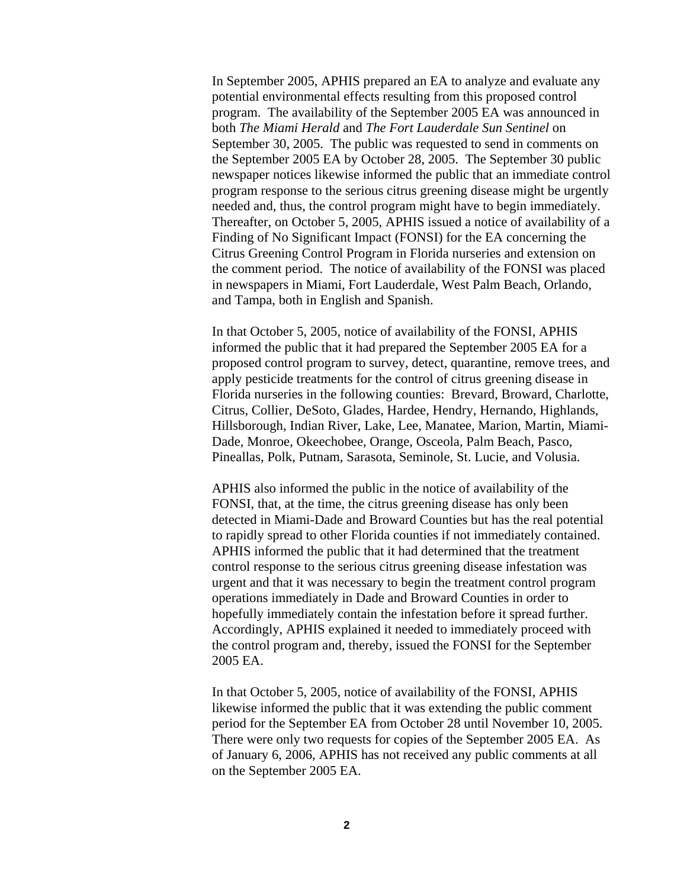In September 2005, APHIS prepared an EA to analyze and evaluate any potential environmental effects resulting from this proposed control program. The availability of the September 2005 EA was announced in both *The Miami Herald* and *The Fort Lauderdale Sun Sentinel* on September 30, 2005. The public was requested to send in comments on the September 2005 EA by October 28, 2005. The September 30 public newspaper notices likewise informed the public that an immediate control program response to the serious citrus greening disease might be urgently needed and, thus, the control program might have to begin immediately. Thereafter, on October 5, 2005, APHIS issued a notice of availability of a Finding of No Significant Impact (FONSI) for the EA concerning the Citrus Greening Control Program in Florida nurseries and extension on the comment period. The notice of availability of the FONSI was placed in newspapers in Miami, Fort Lauderdale, West Palm Beach, Orlando, and Tampa, both in English and Spanish.

In that October 5, 2005, notice of availability of the FONSI, APHIS informed the public that it had prepared the September 2005 EA for a proposed control program to survey, detect, quarantine, remove trees, and apply pesticide treatments for the control of citrus greening disease in Florida nurseries in the following counties: Brevard, Broward, Charlotte, Citrus, Collier, DeSoto, Glades, Hardee, Hendry, Hernando, Highlands, Hillsborough, Indian River, Lake, Lee, Manatee, Marion, Martin, Miami-Dade, Monroe, Okeechobee, Orange, Osceola, Palm Beach, Pasco, Pineallas, Polk, Putnam, Sarasota, Seminole, St. Lucie, and Volusia.

APHIS also informed the public in the notice of availability of the FONSI, that, at the time, the citrus greening disease has only been detected in Miami-Dade and Broward Counties but has the real potential to rapidly spread to other Florida counties if not immediately contained. APHIS informed the public that it had determined that the treatment control response to the serious citrus greening disease infestation was urgent and that it was necessary to begin the treatment control program operations immediately in Dade and Broward Counties in order to hopefully immediately contain the infestation before it spread further. Accordingly, APHIS explained it needed to immediately proceed with the control program and, thereby, issued the FONSI for the September 2005 EA.

In that October 5, 2005, notice of availability of the FONSI, APHIS likewise informed the public that it was extending the public comment period for the September EA from October 28 until November 10, 2005. There were only two requests for copies of the September 2005 EA. As of January 6, 2006, APHIS has not received any public comments at all on the September 2005 EA.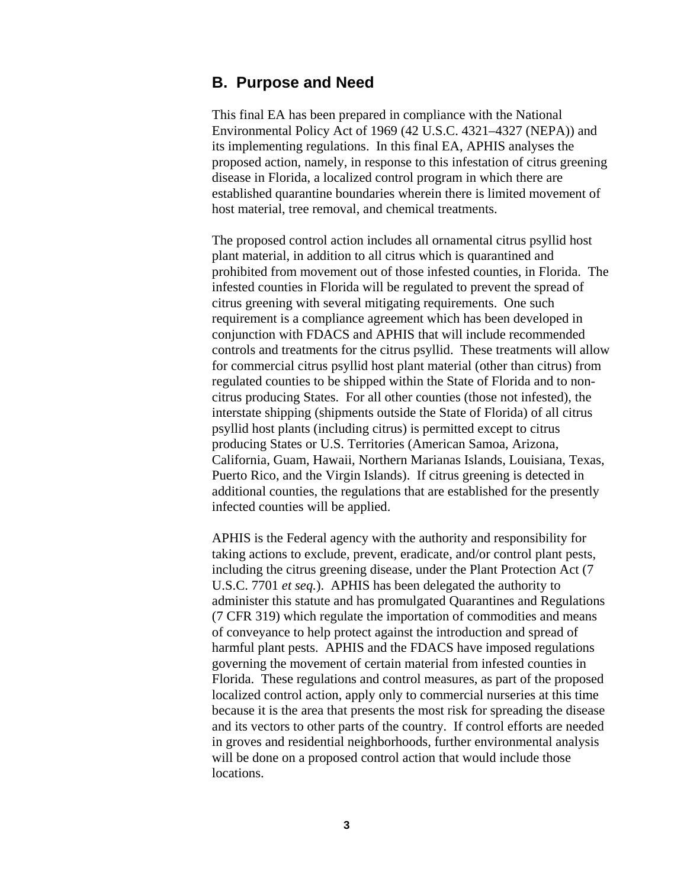# **B. Purpose and Need**

This final EA has been prepared in compliance with the National Environmental Policy Act of 1969 (42 U.S.C. 4321–4327 (NEPA)) and its implementing regulations. In this final EA, APHIS analyses the proposed action, namely, in response to this infestation of citrus greening disease in Florida, a localized control program in which there are established quarantine boundaries wherein there is limited movement of host material, tree removal, and chemical treatments.

The proposed control action includes all ornamental citrus psyllid host plant material, in addition to all citrus which is quarantined and prohibited from movement out of those infested counties, in Florida. The infested counties in Florida will be regulated to prevent the spread of citrus greening with several mitigating requirements. One such requirement is a compliance agreement which has been developed in conjunction with FDACS and APHIS that will include recommended controls and treatments for the citrus psyllid. These treatments will allow for commercial citrus psyllid host plant material (other than citrus) from regulated counties to be shipped within the State of Florida and to noncitrus producing States. For all other counties (those not infested), the interstate shipping (shipments outside the State of Florida) of all citrus psyllid host plants (including citrus) is permitted except to citrus producing States or U.S. Territories (American Samoa, Arizona, California, Guam, Hawaii, Northern Marianas Islands, Louisiana, Texas, Puerto Rico, and the Virgin Islands). If citrus greening is detected in additional counties, the regulations that are established for the presently infected counties will be applied.

APHIS is the Federal agency with the authority and responsibility for taking actions to exclude, prevent, eradicate, and/or control plant pests, including the citrus greening disease, under the Plant Protection Act (7 U.S.C. 7701 *et seq.*). APHIS has been delegated the authority to administer this statute and has promulgated Quarantines and Regulations (7 CFR 319) which regulate the importation of commodities and means of conveyance to help protect against the introduction and spread of harmful plant pests. APHIS and the FDACS have imposed regulations governing the movement of certain material from infested counties in Florida. These regulations and control measures, as part of the proposed localized control action, apply only to commercial nurseries at this time because it is the area that presents the most risk for spreading the disease and its vectors to other parts of the country. If control efforts are needed in groves and residential neighborhoods, further environmental analysis will be done on a proposed control action that would include those locations.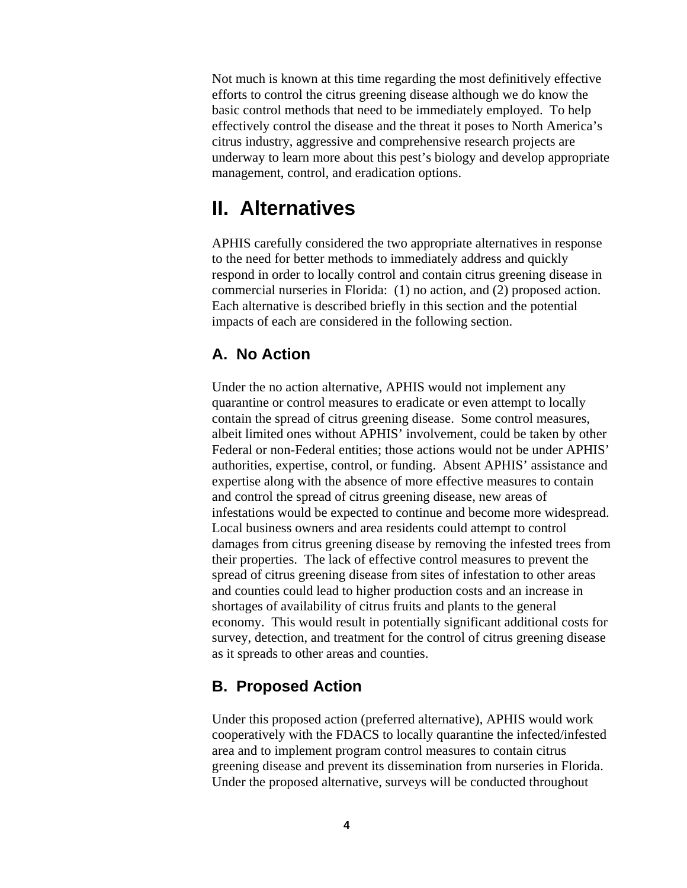Not much is known at this time regarding the most definitively effective efforts to control the citrus greening disease although we do know the basic control methods that need to be immediately employed. To help effectively control the disease and the threat it poses to North America's citrus industry, aggressive and comprehensive research projects are underway to learn more about this pest's biology and develop appropriate management, control, and eradication options.

# **II. Alternatives**

APHIS carefully considered the two appropriate alternatives in response to the need for better methods to immediately address and quickly respond in order to locally control and contain citrus greening disease in commercial nurseries in Florida: (1) no action, and (2) proposed action. Each alternative is described briefly in this section and the potential impacts of each are considered in the following section.

# **A. No Action**

Under the no action alternative, APHIS would not implement any quarantine or control measures to eradicate or even attempt to locally contain the spread of citrus greening disease. Some control measures, albeit limited ones without APHIS' involvement, could be taken by other Federal or non-Federal entities; those actions would not be under APHIS' authorities, expertise, control, or funding. Absent APHIS' assistance and expertise along with the absence of more effective measures to contain and control the spread of citrus greening disease, new areas of infestations would be expected to continue and become more widespread. Local business owners and area residents could attempt to control damages from citrus greening disease by removing the infested trees from their properties. The lack of effective control measures to prevent the spread of citrus greening disease from sites of infestation to other areas and counties could lead to higher production costs and an increase in shortages of availability of citrus fruits and plants to the general economy. This would result in potentially significant additional costs for survey, detection, and treatment for the control of citrus greening disease as it spreads to other areas and counties.

# **B. Proposed Action**

Under this proposed action (preferred alternative), APHIS would work cooperatively with the FDACS to locally quarantine the infected/infested area and to implement program control measures to contain citrus greening disease and prevent its dissemination from nurseries in Florida. Under the proposed alternative, surveys will be conducted throughout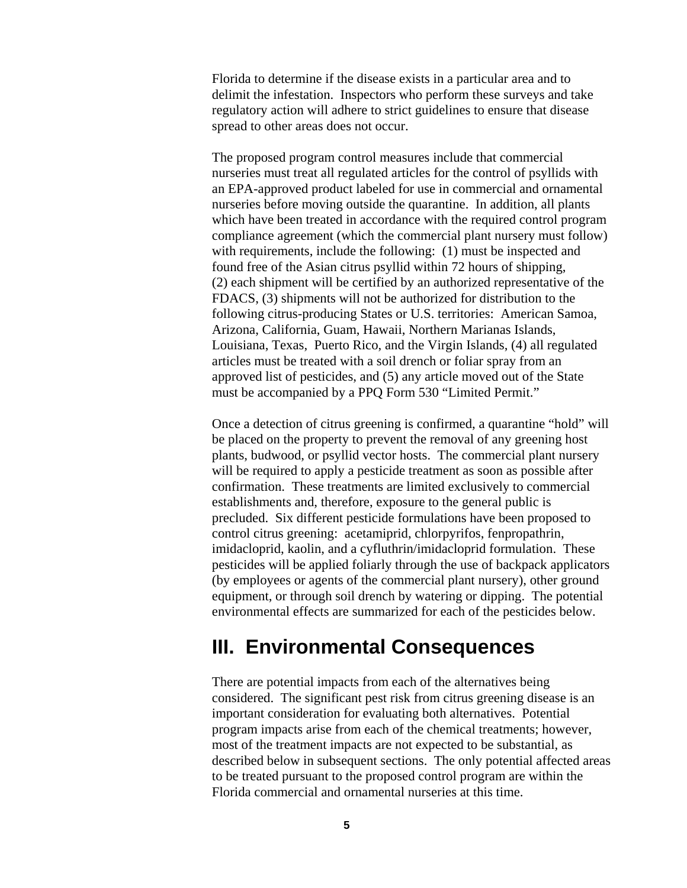Florida to determine if the disease exists in a particular area and to delimit the infestation. Inspectors who perform these surveys and take regulatory action will adhere to strict guidelines to ensure that disease spread to other areas does not occur.

The proposed program control measures include that commercial nurseries must treat all regulated articles for the control of psyllids with an EPA-approved product labeled for use in commercial and ornamental nurseries before moving outside the quarantine. In addition, all plants which have been treated in accordance with the required control program compliance agreement (which the commercial plant nursery must follow) with requirements, include the following: (1) must be inspected and found free of the Asian citrus psyllid within 72 hours of shipping, (2) each shipment will be certified by an authorized representative of the FDACS, (3) shipments will not be authorized for distribution to the following citrus-producing States or U.S. territories: American Samoa, Arizona, California, Guam, Hawaii, Northern Marianas Islands, Louisiana, Texas, Puerto Rico, and the Virgin Islands, (4) all regulated articles must be treated with a soil drench or foliar spray from an approved list of pesticides, and (5) any article moved out of the State must be accompanied by a PPQ Form 530 "Limited Permit."

Once a detection of citrus greening is confirmed, a quarantine "hold" will be placed on the property to prevent the removal of any greening host plants, budwood, or psyllid vector hosts. The commercial plant nursery will be required to apply a pesticide treatment as soon as possible after confirmation. These treatments are limited exclusively to commercial establishments and, therefore, exposure to the general public is precluded. Six different pesticide formulations have been proposed to control citrus greening: acetamiprid, chlorpyrifos, fenpropathrin, imidacloprid, kaolin, and a cyfluthrin/imidacloprid formulation. These pesticides will be applied foliarly through the use of backpack applicators (by employees or agents of the commercial plant nursery), other ground equipment, or through soil drench by watering or dipping. The potential environmental effects are summarized for each of the pesticides below.

# **III. Environmental Consequences**

There are potential impacts from each of the alternatives being considered. The significant pest risk from citrus greening disease is an important consideration for evaluating both alternatives. Potential program impacts arise from each of the chemical treatments; however, most of the treatment impacts are not expected to be substantial, as described below in subsequent sections. The only potential affected areas to be treated pursuant to the proposed control program are within the Florida commercial and ornamental nurseries at this time.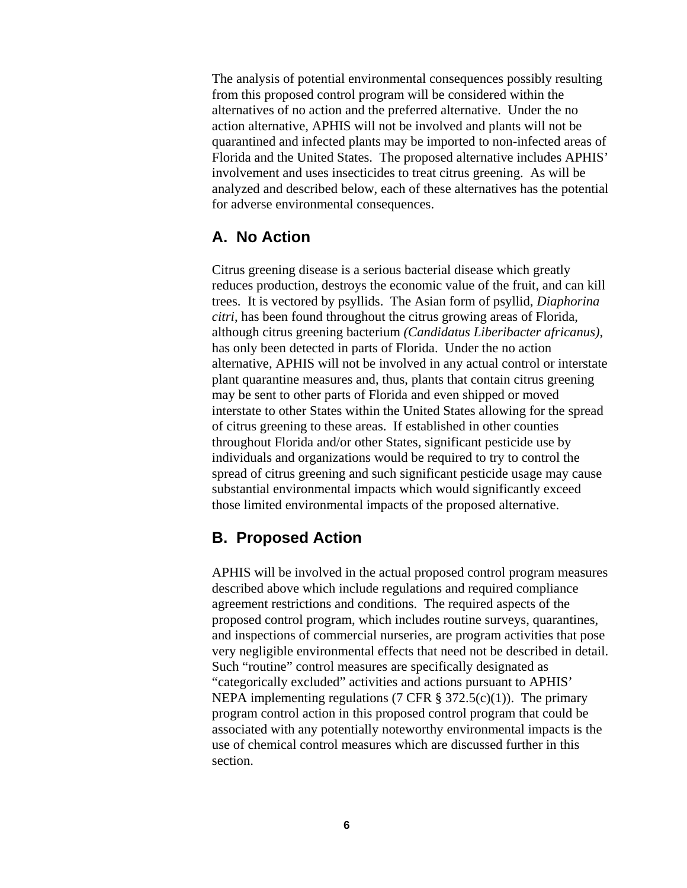The analysis of potential environmental consequences possibly resulting from this proposed control program will be considered within the alternatives of no action and the preferred alternative. Under the no action alternative, APHIS will not be involved and plants will not be quarantined and infected plants may be imported to non-infected areas of Florida and the United States. The proposed alternative includes APHIS' involvement and uses insecticides to treat citrus greening. As will be analyzed and described below, each of these alternatives has the potential for adverse environmental consequences.

# **A. No Action**

Citrus greening disease is a serious bacterial disease which greatly reduces production, destroys the economic value of the fruit, and can kill trees. It is vectored by psyllids. The Asian form of psyllid, *Diaphorina citri*, has been found throughout the citrus growing areas of Florida, although citrus greening bacterium *(Candidatus Liberibacter africanus)*, has only been detected in parts of Florida. Under the no action alternative, APHIS will not be involved in any actual control or interstate plant quarantine measures and, thus, plants that contain citrus greening may be sent to other parts of Florida and even shipped or moved interstate to other States within the United States allowing for the spread of citrus greening to these areas. If established in other counties throughout Florida and/or other States, significant pesticide use by individuals and organizations would be required to try to control the spread of citrus greening and such significant pesticide usage may cause substantial environmental impacts which would significantly exceed those limited environmental impacts of the proposed alternative.

# **B. Proposed Action**

APHIS will be involved in the actual proposed control program measures described above which include regulations and required compliance agreement restrictions and conditions. The required aspects of the proposed control program, which includes routine surveys, quarantines, and inspections of commercial nurseries, are program activities that pose very negligible environmental effects that need not be described in detail. Such "routine" control measures are specifically designated as "categorically excluded" activities and actions pursuant to APHIS' NEPA implementing regulations (7 CFR  $\S$  372.5(c)(1)). The primary program control action in this proposed control program that could be associated with any potentially noteworthy environmental impacts is the use of chemical control measures which are discussed further in this section.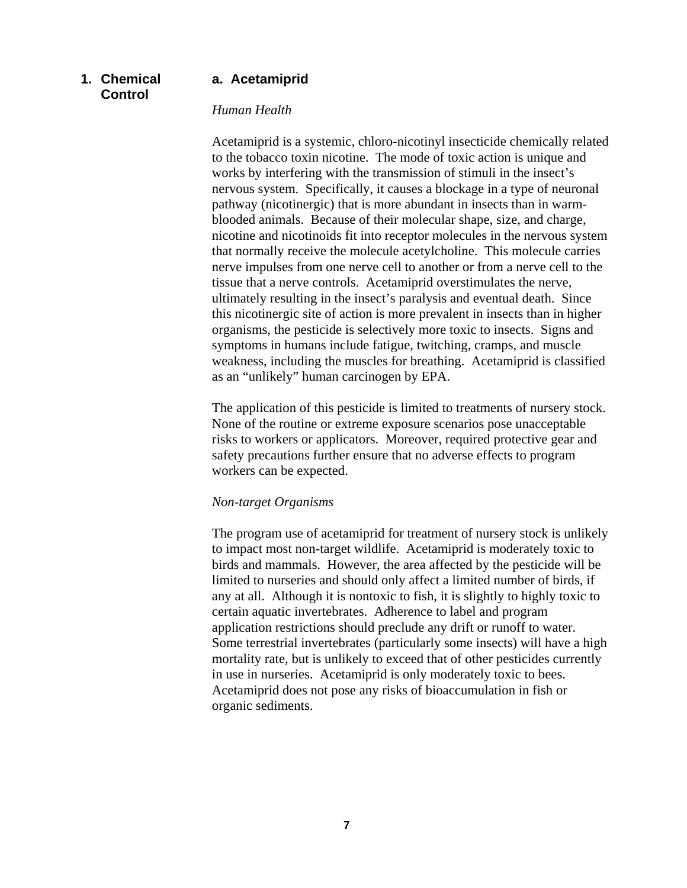# **1. Chemical Control**

# **a. Acetamiprid**

#### *Human Health*

Acetamiprid is a systemic, chloro-nicotinyl insecticide chemically related to the tobacco toxin nicotine. The mode of toxic action is unique and works by interfering with the transmission of stimuli in the insect's nervous system. Specifically, it causes a blockage in a type of neuronal pathway (nicotinergic) that is more abundant in insects than in warmblooded animals. Because of their molecular shape, size, and charge, nicotine and nicotinoids fit into receptor molecules in the nervous system that normally receive the molecule acetylcholine. This molecule carries nerve impulses from one nerve cell to another or from a nerve cell to the tissue that a nerve controls. Acetamiprid overstimulates the nerve, ultimately resulting in the insect's paralysis and eventual death. Since this nicotinergic site of action is more prevalent in insects than in higher organisms, the pesticide is selectively more toxic to insects. Signs and symptoms in humans include fatigue, twitching, cramps, and muscle weakness, including the muscles for breathing. Acetamiprid is classified as an "unlikely" human carcinogen by EPA.

The application of this pesticide is limited to treatments of nursery stock. None of the routine or extreme exposure scenarios pose unacceptable risks to workers or applicators. Moreover, required protective gear and safety precautions further ensure that no adverse effects to program workers can be expected.

## *Non-target Organisms*

The program use of acetamiprid for treatment of nursery stock is unlikely to impact most non-target wildlife. Acetamiprid is moderately toxic to birds and mammals. However, the area affected by the pesticide will be limited to nurseries and should only affect a limited number of birds, if any at all. Although it is nontoxic to fish, it is slightly to highly toxic to certain aquatic invertebrates. Adherence to label and program application restrictions should preclude any drift or runoff to water. Some terrestrial invertebrates (particularly some insects) will have a high mortality rate, but is unlikely to exceed that of other pesticides currently in use in nurseries. Acetamiprid is only moderately toxic to bees. Acetamiprid does not pose any risks of bioaccumulation in fish or organic sediments.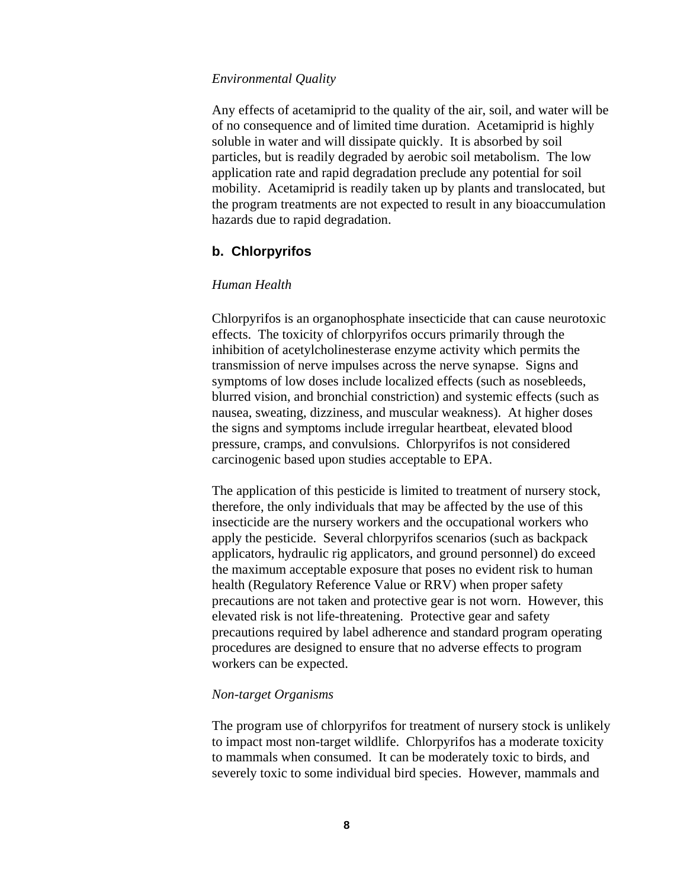#### *Environmental Quality*

Any effects of acetamiprid to the quality of the air, soil, and water will be of no consequence and of limited time duration. Acetamiprid is highly soluble in water and will dissipate quickly. It is absorbed by soil particles, but is readily degraded by aerobic soil metabolism. The low application rate and rapid degradation preclude any potential for soil mobility. Acetamiprid is readily taken up by plants and translocated, but the program treatments are not expected to result in any bioaccumulation hazards due to rapid degradation.

# **b. Chlorpyrifos**

#### *Human Health*

Chlorpyrifos is an organophosphate insecticide that can cause neurotoxic effects. The toxicity of chlorpyrifos occurs primarily through the inhibition of acetylcholinesterase enzyme activity which permits the transmission of nerve impulses across the nerve synapse. Signs and symptoms of low doses include localized effects (such as nosebleeds, blurred vision, and bronchial constriction) and systemic effects (such as nausea, sweating, dizziness, and muscular weakness). At higher doses the signs and symptoms include irregular heartbeat, elevated blood pressure, cramps, and convulsions. Chlorpyrifos is not considered carcinogenic based upon studies acceptable to EPA.

The application of this pesticide is limited to treatment of nursery stock, therefore, the only individuals that may be affected by the use of this insecticide are the nursery workers and the occupational workers who apply the pesticide. Several chlorpyrifos scenarios (such as backpack applicators, hydraulic rig applicators, and ground personnel) do exceed the maximum acceptable exposure that poses no evident risk to human health (Regulatory Reference Value or RRV) when proper safety precautions are not taken and protective gear is not worn. However, this elevated risk is not life-threatening. Protective gear and safety precautions required by label adherence and standard program operating procedures are designed to ensure that no adverse effects to program workers can be expected.

#### *Non-target Organisms*

The program use of chlorpyrifos for treatment of nursery stock is unlikely to impact most non-target wildlife. Chlorpyrifos has a moderate toxicity to mammals when consumed. It can be moderately toxic to birds, and severely toxic to some individual bird species. However, mammals and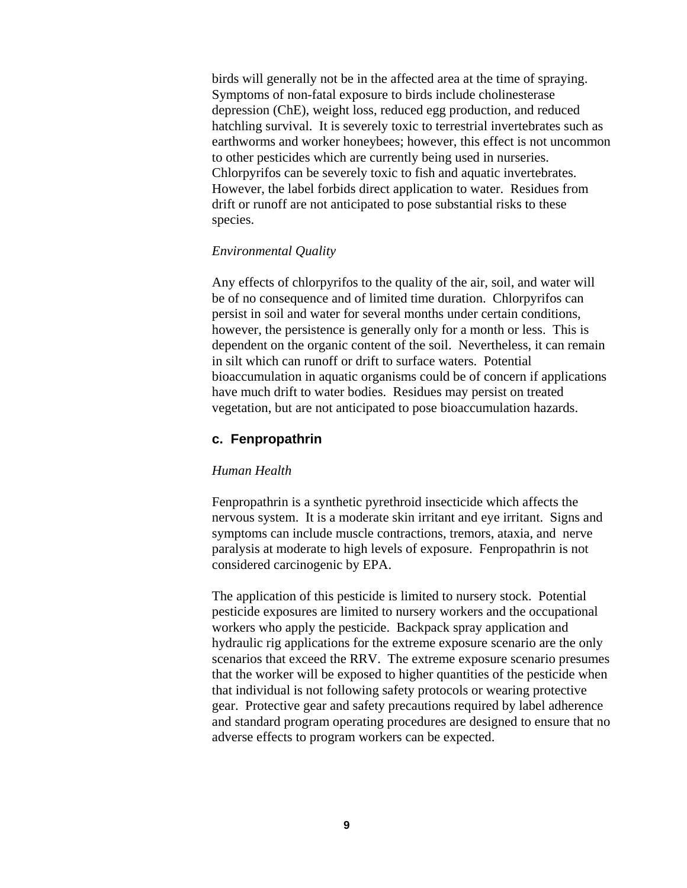birds will generally not be in the affected area at the time of spraying. Symptoms of non-fatal exposure to birds include cholinesterase depression (ChE), weight loss, reduced egg production, and reduced hatchling survival. It is severely toxic to terrestrial invertebrates such as earthworms and worker honeybees; however, this effect is not uncommon to other pesticides which are currently being used in nurseries. Chlorpyrifos can be severely toxic to fish and aquatic invertebrates. However, the label forbids direct application to water. Residues from drift or runoff are not anticipated to pose substantial risks to these species.

## *Environmental Quality*

Any effects of chlorpyrifos to the quality of the air, soil, and water will be of no consequence and of limited time duration. Chlorpyrifos can persist in soil and water for several months under certain conditions, however, the persistence is generally only for a month or less. This is dependent on the organic content of the soil. Nevertheless, it can remain in silt which can runoff or drift to surface waters. Potential bioaccumulation in aquatic organisms could be of concern if applications have much drift to water bodies. Residues may persist on treated vegetation, but are not anticipated to pose bioaccumulation hazards.

# **c. Fenpropathrin**

## *Human Health*

Fenpropathrin is a synthetic pyrethroid insecticide which affects the nervous system. It is a moderate skin irritant and eye irritant. Signs and symptoms can include muscle contractions, tremors, ataxia, and nerve paralysis at moderate to high levels of exposure. Fenpropathrin is not considered carcinogenic by EPA.

The application of this pesticide is limited to nursery stock. Potential pesticide exposures are limited to nursery workers and the occupational workers who apply the pesticide. Backpack spray application and hydraulic rig applications for the extreme exposure scenario are the only scenarios that exceed the RRV. The extreme exposure scenario presumes that the worker will be exposed to higher quantities of the pesticide when that individual is not following safety protocols or wearing protective gear. Protective gear and safety precautions required by label adherence and standard program operating procedures are designed to ensure that no adverse effects to program workers can be expected.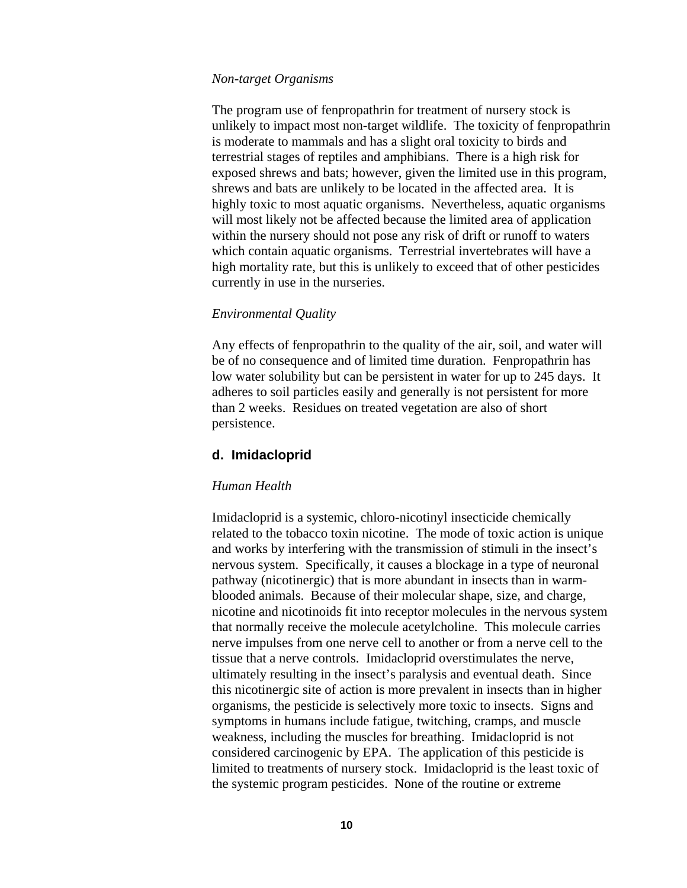#### *Non-target Organisms*

The program use of fenpropathrin for treatment of nursery stock is unlikely to impact most non-target wildlife. The toxicity of fenpropathrin is moderate to mammals and has a slight oral toxicity to birds and terrestrial stages of reptiles and amphibians. There is a high risk for exposed shrews and bats; however, given the limited use in this program, shrews and bats are unlikely to be located in the affected area. It is highly toxic to most aquatic organisms. Nevertheless, aquatic organisms will most likely not be affected because the limited area of application within the nursery should not pose any risk of drift or runoff to waters which contain aquatic organisms. Terrestrial invertebrates will have a high mortality rate, but this is unlikely to exceed that of other pesticides currently in use in the nurseries.

## *Environmental Quality*

Any effects of fenpropathrin to the quality of the air, soil, and water will be of no consequence and of limited time duration. Fenpropathrin has low water solubility but can be persistent in water for up to 245 days. It adheres to soil particles easily and generally is not persistent for more than 2 weeks. Residues on treated vegetation are also of short persistence.

# **d. Imidacloprid**

## *Human Health*

Imidacloprid is a systemic, chloro-nicotinyl insecticide chemically related to the tobacco toxin nicotine. The mode of toxic action is unique and works by interfering with the transmission of stimuli in the insect's nervous system. Specifically, it causes a blockage in a type of neuronal pathway (nicotinergic) that is more abundant in insects than in warmblooded animals. Because of their molecular shape, size, and charge, nicotine and nicotinoids fit into receptor molecules in the nervous system that normally receive the molecule acetylcholine. This molecule carries nerve impulses from one nerve cell to another or from a nerve cell to the tissue that a nerve controls. Imidacloprid overstimulates the nerve, ultimately resulting in the insect's paralysis and eventual death. Since this nicotinergic site of action is more prevalent in insects than in higher organisms, the pesticide is selectively more toxic to insects. Signs and symptoms in humans include fatigue, twitching, cramps, and muscle weakness, including the muscles for breathing. Imidacloprid is not considered carcinogenic by EPA. The application of this pesticide is limited to treatments of nursery stock. Imidacloprid is the least toxic of the systemic program pesticides. None of the routine or extreme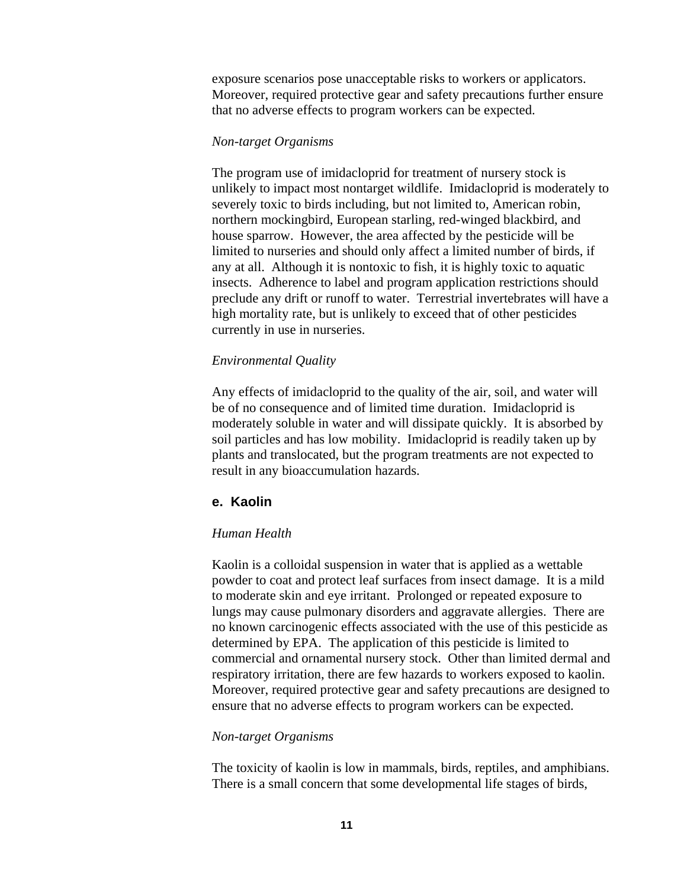exposure scenarios pose unacceptable risks to workers or applicators. Moreover, required protective gear and safety precautions further ensure that no adverse effects to program workers can be expected.

## *Non-target Organisms*

The program use of imidacloprid for treatment of nursery stock is unlikely to impact most nontarget wildlife. Imidacloprid is moderately to severely toxic to birds including, but not limited to, American robin, northern mockingbird, European starling, red-winged blackbird, and house sparrow. However, the area affected by the pesticide will be limited to nurseries and should only affect a limited number of birds, if any at all. Although it is nontoxic to fish, it is highly toxic to aquatic insects. Adherence to label and program application restrictions should preclude any drift or runoff to water. Terrestrial invertebrates will have a high mortality rate, but is unlikely to exceed that of other pesticides currently in use in nurseries.

# *Environmental Quality*

Any effects of imidacloprid to the quality of the air, soil, and water will be of no consequence and of limited time duration. Imidacloprid is moderately soluble in water and will dissipate quickly. It is absorbed by soil particles and has low mobility. Imidacloprid is readily taken up by plants and translocated, but the program treatments are not expected to result in any bioaccumulation hazards.

# **e. Kaolin**

# *Human Health*

Kaolin is a colloidal suspension in water that is applied as a wettable powder to coat and protect leaf surfaces from insect damage. It is a mild to moderate skin and eye irritant. Prolonged or repeated exposure to lungs may cause pulmonary disorders and aggravate allergies. There are no known carcinogenic effects associated with the use of this pesticide as determined by EPA. The application of this pesticide is limited to commercial and ornamental nursery stock. Other than limited dermal and respiratory irritation, there are few hazards to workers exposed to kaolin. Moreover, required protective gear and safety precautions are designed to ensure that no adverse effects to program workers can be expected.

## *Non-target Organisms*

The toxicity of kaolin is low in mammals, birds, reptiles, and amphibians. There is a small concern that some developmental life stages of birds,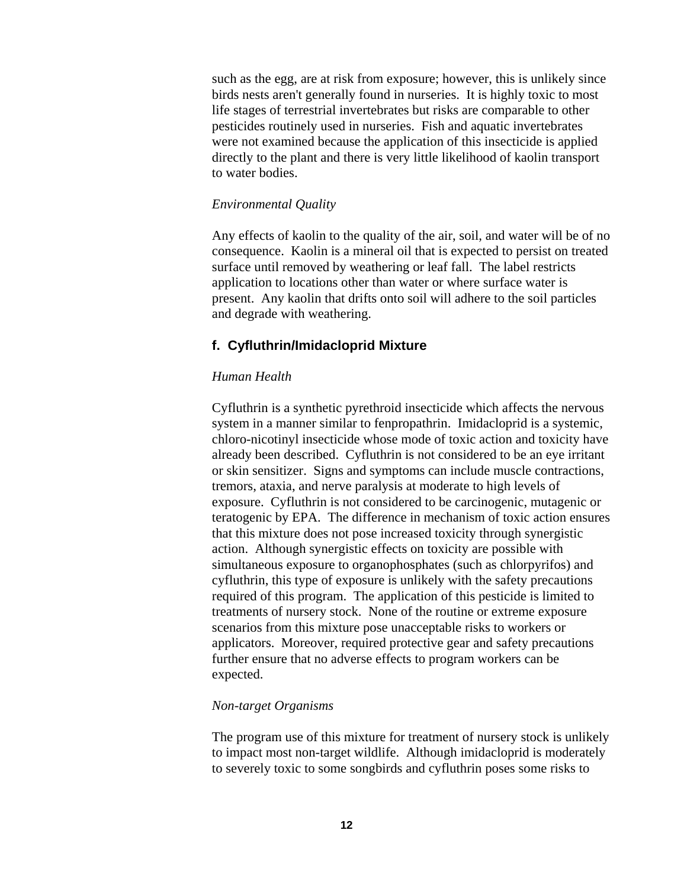such as the egg, are at risk from exposure; however, this is unlikely since birds nests aren't generally found in nurseries. It is highly toxic to most life stages of terrestrial invertebrates but risks are comparable to other pesticides routinely used in nurseries. Fish and aquatic invertebrates were not examined because the application of this insecticide is applied directly to the plant and there is very little likelihood of kaolin transport to water bodies.

# *Environmental Quality*

Any effects of kaolin to the quality of the air, soil, and water will be of no consequence. Kaolin is a mineral oil that is expected to persist on treated surface until removed by weathering or leaf fall. The label restricts application to locations other than water or where surface water is present. Any kaolin that drifts onto soil will adhere to the soil particles and degrade with weathering.

# **f. Cyfluthrin/Imidacloprid Mixture**

# *Human Health*

Cyfluthrin is a synthetic pyrethroid insecticide which affects the nervous system in a manner similar to fenpropathrin. Imidacloprid is a systemic, chloro-nicotinyl insecticide whose mode of toxic action and toxicity have already been described. Cyfluthrin is not considered to be an eye irritant or skin sensitizer. Signs and symptoms can include muscle contractions, tremors, ataxia, and nerve paralysis at moderate to high levels of exposure. Cyfluthrin is not considered to be carcinogenic, mutagenic or teratogenic by EPA. The difference in mechanism of toxic action ensures that this mixture does not pose increased toxicity through synergistic action. Although synergistic effects on toxicity are possible with simultaneous exposure to organophosphates (such as chlorpyrifos) and cyfluthrin, this type of exposure is unlikely with the safety precautions required of this program. The application of this pesticide is limited to treatments of nursery stock. None of the routine or extreme exposure scenarios from this mixture pose unacceptable risks to workers or applicators. Moreover, required protective gear and safety precautions further ensure that no adverse effects to program workers can be expected.

# *Non-target Organisms*

The program use of this mixture for treatment of nursery stock is unlikely to impact most non-target wildlife. Although imidacloprid is moderately to severely toxic to some songbirds and cyfluthrin poses some risks to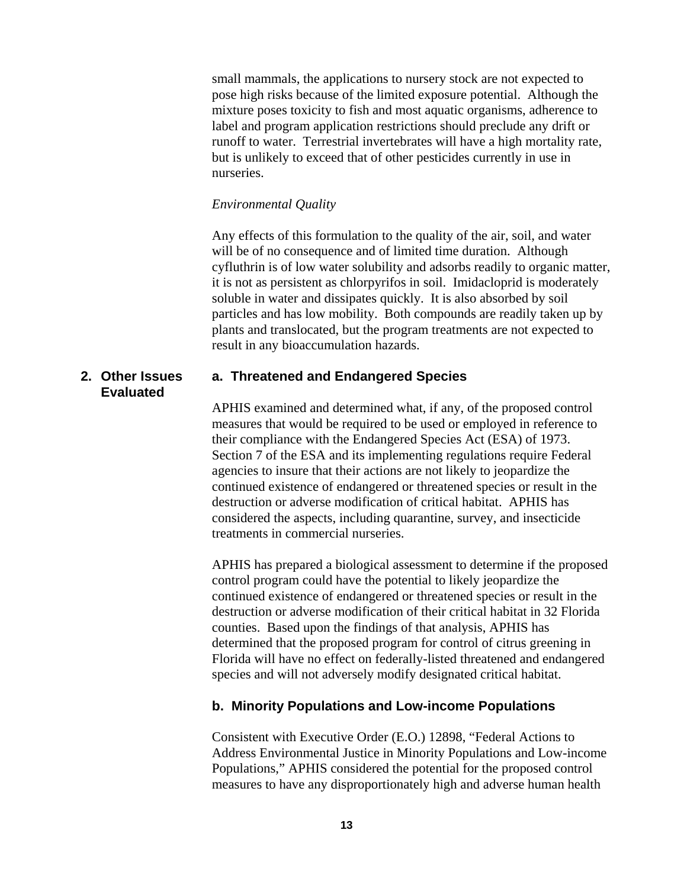small mammals, the applications to nursery stock are not expected to pose high risks because of the limited exposure potential. Although the mixture poses toxicity to fish and most aquatic organisms, adherence to label and program application restrictions should preclude any drift or runoff to water. Terrestrial invertebrates will have a high mortality rate, but is unlikely to exceed that of other pesticides currently in use in nurseries.

## *Environmental Quality*

Any effects of this formulation to the quality of the air, soil, and water will be of no consequence and of limited time duration. Although cyfluthrin is of low water solubility and adsorbs readily to organic matter, it is not as persistent as chlorpyrifos in soil. Imidacloprid is moderately soluble in water and dissipates quickly. It is also absorbed by soil particles and has low mobility. Both compounds are readily taken up by plants and translocated, but the program treatments are not expected to result in any bioaccumulation hazards.

# **2. Other Issues Evaluated**

# **a. Threatened and Endangered Species**

APHIS examined and determined what, if any, of the proposed control measures that would be required to be used or employed in reference to their compliance with the Endangered Species Act (ESA) of 1973. Section 7 of the ESA and its implementing regulations require Federal agencies to insure that their actions are not likely to jeopardize the continued existence of endangered or threatened species or result in the destruction or adverse modification of critical habitat. APHIS has considered the aspects, including quarantine, survey, and insecticide treatments in commercial nurseries.

APHIS has prepared a biological assessment to determine if the proposed control program could have the potential to likely jeopardize the continued existence of endangered or threatened species or result in the destruction or adverse modification of their critical habitat in 32 Florida counties. Based upon the findings of that analysis, APHIS has determined that the proposed program for control of citrus greening in Florida will have no effect on federally-listed threatened and endangered species and will not adversely modify designated critical habitat.

# **b. Minority Populations and Low-income Populations**

Consistent with Executive Order (E.O.) 12898, "Federal Actions to Address Environmental Justice in Minority Populations and Low-income Populations," APHIS considered the potential for the proposed control measures to have any disproportionately high and adverse human health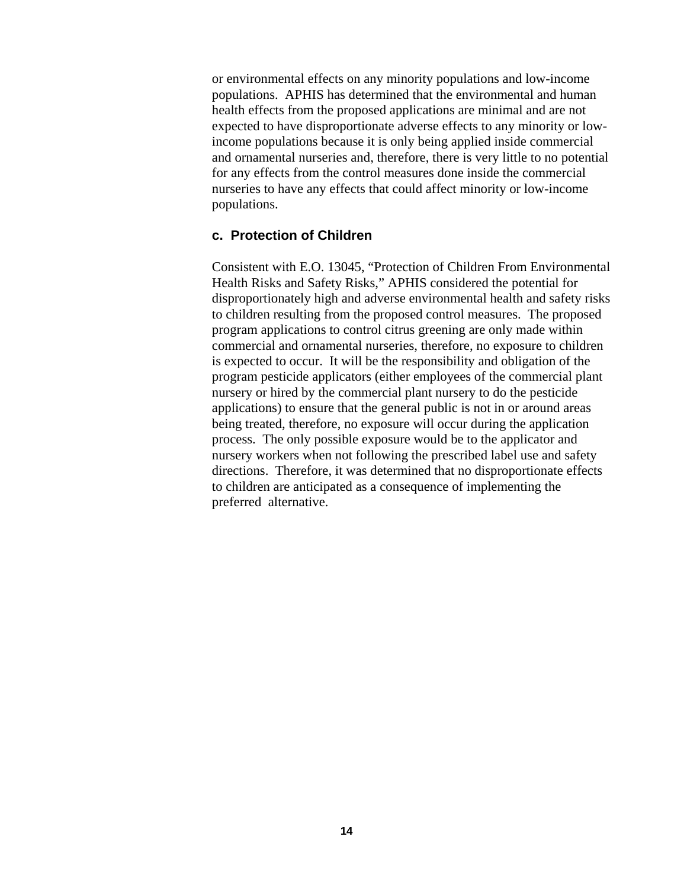or environmental effects on any minority populations and low-income populations. APHIS has determined that the environmental and human health effects from the proposed applications are minimal and are not expected to have disproportionate adverse effects to any minority or lowincome populations because it is only being applied inside commercial and ornamental nurseries and, therefore, there is very little to no potential for any effects from the control measures done inside the commercial nurseries to have any effects that could affect minority or low-income populations.

# **c. Protection of Children**

Consistent with E.O. 13045, "Protection of Children From Environmental Health Risks and Safety Risks," APHIS considered the potential for disproportionately high and adverse environmental health and safety risks to children resulting from the proposed control measures. The proposed program applications to control citrus greening are only made within commercial and ornamental nurseries, therefore, no exposure to children is expected to occur. It will be the responsibility and obligation of the program pesticide applicators (either employees of the commercial plant nursery or hired by the commercial plant nursery to do the pesticide applications) to ensure that the general public is not in or around areas being treated, therefore, no exposure will occur during the application process. The only possible exposure would be to the applicator and nursery workers when not following the prescribed label use and safety directions. Therefore, it was determined that no disproportionate effects to children are anticipated as a consequence of implementing the preferred alternative.